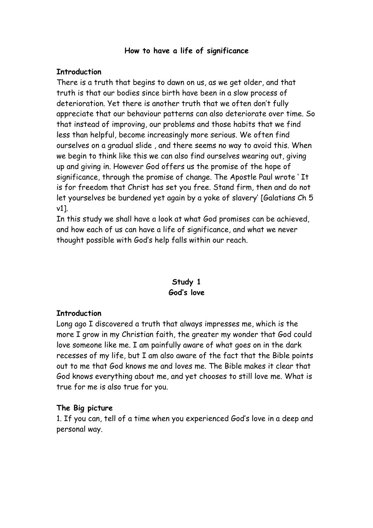#### **How to have a life of significance**

#### **Introduction**

There is a truth that begins to dawn on us, as we get older, and that truth is that our bodies since birth have been in a slow process of deterioration. Yet there is another truth that we often don't fully appreciate that our behaviour patterns can also deteriorate over time. So that instead of improving, our problems and those habits that we find less than helpful, become increasingly more serious. We often find ourselves on a gradual slide , and there seems no way to avoid this. When we begin to think like this we can also find ourselves wearing out, giving up and giving in. However God offers us the promise of the hope of significance, through the promise of change. The Apostle Paul wrote ' It is for freedom that Christ has set you free. Stand firm, then and do not let yourselves be burdened yet again by a yoke of slavery' [Galatians Ch 5 v1].

In this study we shall have a look at what God promises can be achieved, and how each of us can have a life of significance, and what we never thought possible with God's help falls within our reach.

# **Study 1 God's love**

#### **Introduction**

Long ago I discovered a truth that always impresses me, which is the more I grow in my Christian faith, the greater my wonder that God could love someone like me. I am painfully aware of what goes on in the dark recesses of my life, but I am also aware of the fact that the Bible points out to me that God knows me and loves me. The Bible makes it clear that God knows everything about me, and yet chooses to still love me. What is true for me is also true for you.

#### **The Big picture**

1. If you can, tell of a time when you experienced God's love in a deep and personal way.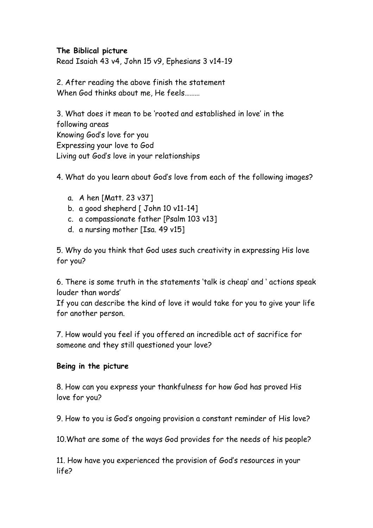## **The Biblical picture**

Read Isaiah 43 v4, John 15 v9, Ephesians 3 v14-19

2. After reading the above finish the statement When God thinks about me, He feels………

3. What does it mean to be 'rooted and established in love' in the following areas Knowing God's love for you Expressing your love to God Living out God's love in your relationships

4. What do you learn about God's love from each of the following images?

- a. A hen [Matt. 23 v37]
- b. a good shepherd  $\lceil$  John 10 v11-14]
- c. a compassionate father [Psalm 103 v13]
- d. a nursing mother [Isa. 49 v15]

5. Why do you think that God uses such creativity in expressing His love for you?

6. There is some truth in the statements 'talk is cheap' and ' actions speak louder than words'

If you can describe the kind of love it would take for you to give your life for another person.

7. How would you feel if you offered an incredible act of sacrifice for someone and they still questioned your love?

#### **Being in the picture**

8. How can you express your thankfulness for how God has proved His love for you?

9. How to you is God's ongoing provision a constant reminder of His love?

10.What are some of the ways God provides for the needs of his people?

11. How have you experienced the provision of God's resources in your life?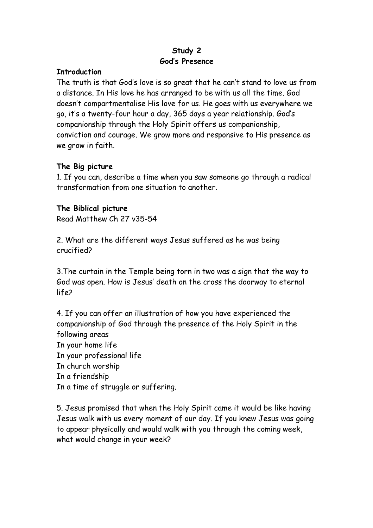# **Study 2 God's Presence**

### **Introduction**

The truth is that God's love is so great that he can't stand to love us from a distance. In His love he has arranged to be with us all the time. God doesn't compartmentalise His love for us. He goes with us everywhere we go, it's a twenty-four hour a day, 365 days a year relationship. God's companionship through the Holy Spirit offers us companionship, conviction and courage. We grow more and responsive to His presence as we grow in faith.

# **The Big picture**

1. If you can, describe a time when you saw someone go through a radical transformation from one situation to another.

### **The Biblical picture**

Read Matthew Ch 27 v35-54

2. What are the different ways Jesus suffered as he was being crucified?

3.The curtain in the Temple being torn in two was a sign that the way to God was open. How is Jesus' death on the cross the doorway to eternal life?

4. If you can offer an illustration of how you have experienced the companionship of God through the presence of the Holy Spirit in the following areas In your home life In your professional life In church worship In a friendship In a time of struggle or suffering.

5. Jesus promised that when the Holy Spirit came it would be like having Jesus walk with us every moment of our day. If you knew Jesus was going to appear physically and would walk with you through the coming week, what would change in your week?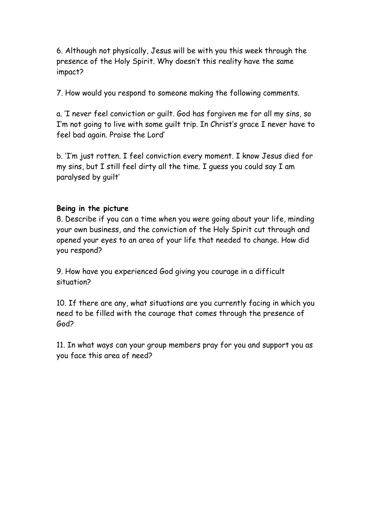6. Although not physically, Jesus will be with you this week through the presence of the Holy Spirit. Why doesn't this reality have the same impact?

7. How would you respond to someone making the following comments.

a. 'I never feel conviction or guilt. God has forgiven me for all my sins, so I'm not going to live with some guilt trip. In Christ's grace I never have to feel bad again. Praise the Lord'

b. 'I'm just rotten. I feel conviction every moment. I know Jesus died for my sins, but I still feel dirty all the time. I guess you could say I am paralysed by guilt'

#### **Being in the picture**

8. Describe if you can a time when you were going about your life, minding your own business, and the conviction of the Holy Spirit cut through and opened your eyes to an area of your life that needed to change. How did you respond?

9. How have you experienced God giving you courage in a difficult situation?

10. If there are any, what situations are you currently facing in which you need to be filled with the courage that comes through the presence of God?

11. In what ways can your group members pray for you and support you as you face this area of need?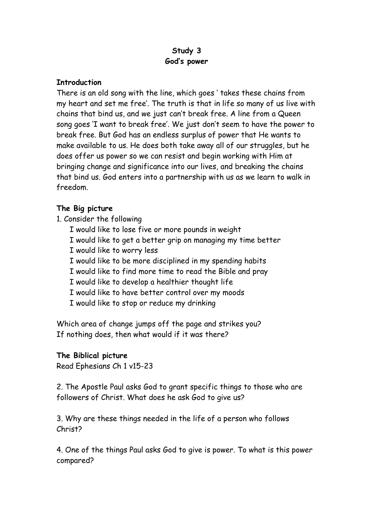# **Study 3 God's power**

### **Introduction**

There is an old song with the line, which goes ' takes these chains from my heart and set me free'. The truth is that in life so many of us live with chains that bind us, and we just can't break free. A line from a Queen song goes 'I want to break free'. We just don't seem to have the power to break free. But God has an endless surplus of power that He wants to make available to us. He does both take away all of our struggles, but he does offer us power so we can resist and begin working with Him at bringing change and significance into our lives, and breaking the chains that bind us. God enters into a partnership with us as we learn to walk in freedom.

# **The Big picture**

- 1. Consider the following
	- I would like to lose five or more pounds in weight
	- I would like to get a better grip on managing my time better
	- I would like to worry less
	- I would like to be more disciplined in my spending habits
	- I would like to find more time to read the Bible and pray
	- I would like to develop a healthier thought life
	- I would like to have better control over my moods
	- I would like to stop or reduce my drinking

Which area of change jumps off the page and strikes you? If nothing does, then what would if it was there?

#### **The Biblical picture**

Read Ephesians Ch 1 v15-23

2. The Apostle Paul asks God to grant specific things to those who are followers of Christ. What does he ask God to give us?

3. Why are these things needed in the life of a person who follows Christ?

4. One of the things Paul asks God to give is power. To what is this power compared?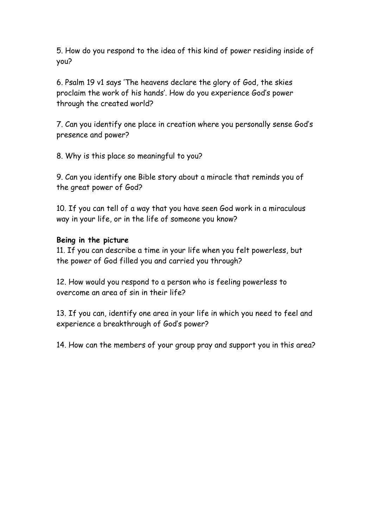5. How do you respond to the idea of this kind of power residing inside of you?

6. Psalm 19 v1 says 'The heavens declare the glory of God, the skies proclaim the work of his hands'. How do you experience God's power through the created world?

7. Can you identify one place in creation where you personally sense God's presence and power?

8. Why is this place so meaningful to you?

9. Can you identify one Bible story about a miracle that reminds you of the great power of God?

10. If you can tell of a way that you have seen God work in a miraculous way in your life, or in the life of someone you know?

#### **Being in the picture**

11. If you can describe a time in your life when you felt powerless, but the power of God filled you and carried you through?

12. How would you respond to a person who is feeling powerless to overcome an area of sin in their life?

13. If you can, identify one area in your life in which you need to feel and experience a breakthrough of God's power?

14. How can the members of your group pray and support you in this area?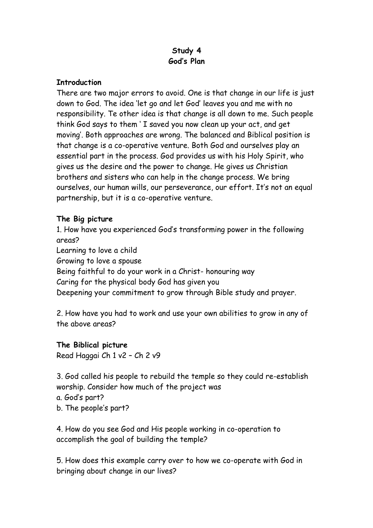# **Study 4 God's Plan**

#### **Introduction**

There are two major errors to avoid. One is that change in our life is just down to God. The idea 'let go and let God' leaves you and me with no responsibility. Te other idea is that change is all down to me. Such people think God says to them ' I saved you now clean up your act, and get moving'. Both approaches are wrong. The balanced and Biblical position is that change is a co-operative venture. Both God and ourselves play an essential part in the process. God provides us with his Holy Spirit, who gives us the desire and the power to change. He gives us Christian brothers and sisters who can help in the change process. We bring ourselves, our human wills, our perseverance, our effort. It's not an equal partnership, but it is a co-operative venture.

# **The Big picture**

1. How have you experienced God's transforming power in the following areas? Learning to love a child Growing to love a spouse Being faithful to do your work in a Christ- honouring way Caring for the physical body God has given you Deepening your commitment to grow through Bible study and prayer.

2. How have you had to work and use your own abilities to grow in any of the above areas?

# **The Biblical picture**

Read Haggai Ch 1 v2 – Ch 2 v9

3. God called his people to rebuild the temple so they could re-establish worship. Consider how much of the project was

a. God's part?

b. The people's part?

4. How do you see God and His people working in co-operation to accomplish the goal of building the temple?

5. How does this example carry over to how we co-operate with God in bringing about change in our lives?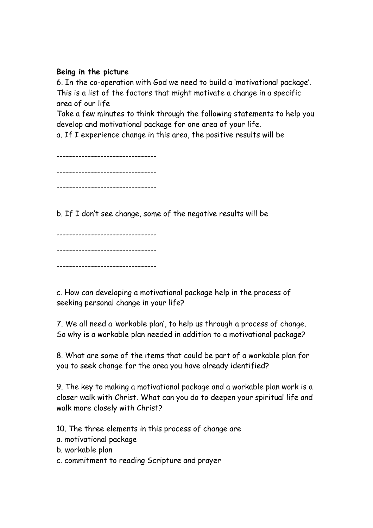### **Being in the picture**

6. In the co-operation with God we need to build a 'motivational package'. This is a list of the factors that might motivate a change in a specific area of our life

Take a few minutes to think through the following statements to help you develop and motivational package for one area of your life.

a. If I experience change in this area, the positive results will be

-------------------------------- -------------------------------- --------------------------------

b. If I don't see change, some of the negative results will be

-------------------------------- -------------------------------- --------------------------------

c. How can developing a motivational package help in the process of seeking personal change in your life?

7. We all need a 'workable plan', to help us through a process of change. So why is a workable plan needed in addition to a motivational package?

8. What are some of the items that could be part of a workable plan for you to seek change for the area you have already identified?

9. The key to making a motivational package and a workable plan work is a closer walk with Christ. What can you do to deepen your spiritual life and walk more closely with Christ?

10. The three elements in this process of change are

- a. motivational package
- b. workable plan
- c. commitment to reading Scripture and prayer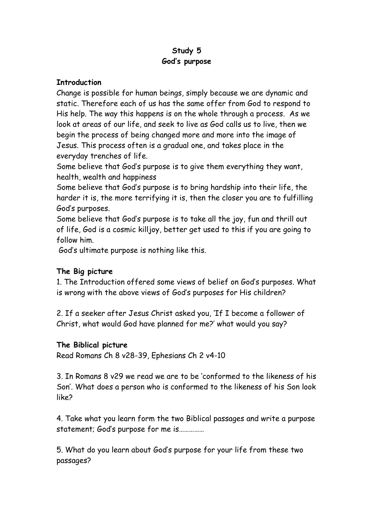# **Study 5 God's purpose**

#### **Introduction**

Change is possible for human beings, simply because we are dynamic and static. Therefore each of us has the same offer from God to respond to His help. The way this happens is on the whole through a process. As we look at areas of our life, and seek to live as God calls us to live, then we begin the process of being changed more and more into the image of Jesus. This process often is a gradual one, and takes place in the everyday trenches of life.

Some believe that God's purpose is to give them everything they want, health, wealth and happiness

Some believe that God's purpose is to bring hardship into their life, the harder it is, the more terrifying it is, then the closer you are to fulfilling God's purposes.

Some believe that God's purpose is to take all the joy, fun and thrill out of life, God is a cosmic killjoy, better get used to this if you are going to follow him.

God's ultimate purpose is nothing like this.

# **The Big picture**

1. The Introduction offered some views of belief on God's purposes. What is wrong with the above views of God's purposes for His children?

2. If a seeker after Jesus Christ asked you, 'If I become a follower of Christ, what would God have planned for me?' what would you say?

# **The Biblical picture**

Read Romans Ch 8 v28-39, Ephesians Ch 2 v4-10

3. In Romans 8 v29 we read we are to be 'conformed to the likeness of his Son'. What does a person who is conformed to the likeness of his Son look like?

4. Take what you learn form the two Biblical passages and write a purpose statement; God's purpose for me is……………

5. What do you learn about God's purpose for your life from these two passages?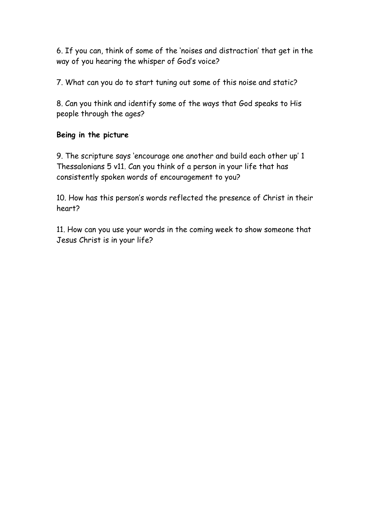6. If you can, think of some of the 'noises and distraction' that get in the way of you hearing the whisper of God's voice?

7. What can you do to start tuning out some of this noise and static?

8. Can you think and identify some of the ways that God speaks to His people through the ages?

### **Being in the picture**

9. The scripture says 'encourage one another and build each other up' 1 Thessalonians 5 v11. Can you think of a person in your life that has consistently spoken words of encouragement to you?

10. How has this person's words reflected the presence of Christ in their heart?

11. How can you use your words in the coming week to show someone that Jesus Christ is in your life?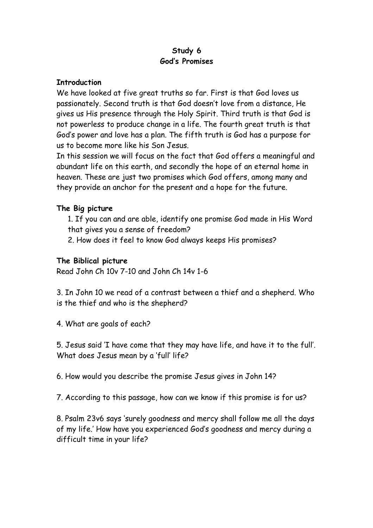# **Study 6 God's Promises**

### **Introduction**

We have looked at five great truths so far. First is that God loves us passionately. Second truth is that God doesn't love from a distance, He gives us His presence through the Holy Spirit. Third truth is that God is not powerless to produce change in a life. The fourth great truth is that God's power and love has a plan. The fifth truth is God has a purpose for us to become more like his Son Jesus.

In this session we will focus on the fact that God offers a meaningful and abundant life on this earth, and secondly the hope of an eternal home in heaven. These are just two promises which God offers, among many and they provide an anchor for the present and a hope for the future.

### **The Big picture**

1. If you can and are able, identify one promise God made in His Word that gives you a sense of freedom?

2. How does it feel to know God always keeps His promises?

### **The Biblical picture**

Read John Ch 10v 7-10 and John Ch 14v 1-6

3. In John 10 we read of a contrast between a thief and a shepherd. Who is the thief and who is the shepherd?

4. What are goals of each?

5. Jesus said 'I have come that they may have life, and have it to the full'. What does Jesus mean by a 'full' life?

6. How would you describe the promise Jesus gives in John 14?

7. According to this passage, how can we know if this promise is for us?

8. Psalm 23v6 says 'surely goodness and mercy shall follow me all the days of my life.' How have you experienced God's goodness and mercy during a difficult time in your life?